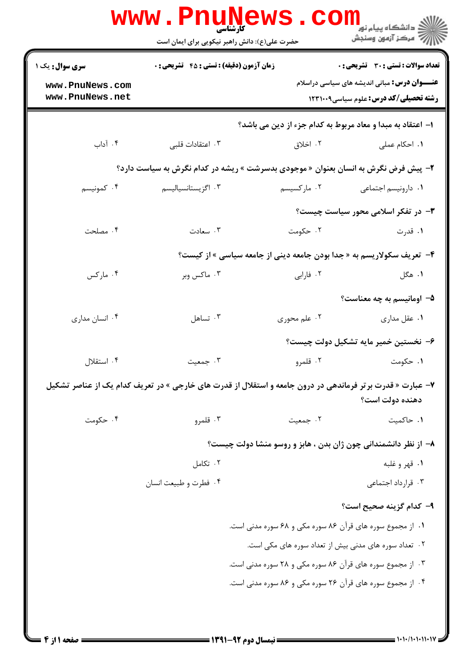|                                    | <b>www.PnuNews</b><br><b>کارشناسی</b><br>حضرت علی(ع): دانش راهبر نیکویی برای ایمان است                    | $\mathbf{COI}$ | ر دانشڪاه پيام نور <mark>−</mark><br>ا∛ مرکز آزمون وسنڊش                                             |  |
|------------------------------------|-----------------------------------------------------------------------------------------------------------|----------------|------------------------------------------------------------------------------------------------------|--|
| سری سوال: یک ۱                     | <b>زمان آزمون (دقیقه) : تستی : 45 تشریحی : 0</b>                                                          |                | <b>تعداد سوالات : تستی : 30 ٪ تشریحی : 0</b>                                                         |  |
| www.PnuNews.com<br>www.PnuNews.net |                                                                                                           |                | <b>عنــــوان درس:</b> مبانی اندیشه های سیاسی دراسلام<br><b>رشته تحصیلی/کد درس:</b> علوم سیاسی1۲۳۱۰۰۹ |  |
|                                    | ا– اعتقاد به مبدا و معاد مربوط به کدام جزء از دین می باشد؟                                                |                |                                                                                                      |  |
| ۰۴ آداب                            | ۰۳ اعتقادات قلبی                                                                                          | ۰۲ اخلاق       | ٠١. احكام عملى                                                                                       |  |
|                                    | <b>۲</b> - پیش فرض نگرش به انسان بعنوان « موجودی بدسرشت » ریشه در کدام نگرش به سیاست دارد؟                |                |                                                                                                      |  |
| ۰۴ کمونیسم                         | ۰۳ اگزیستانسیالیسم                                                                                        | ۰۲ مارکسیسم    | <b>۱</b> . دارونیسم اجتماعی                                                                          |  |
|                                    |                                                                                                           |                | <b>۳</b> - در تفکر اسلامی محور سیاست چیست؟                                                           |  |
| ۰۴ مصلحت                           | ۰۳ سعادت                                                                                                  | ۰۲ حکومت       | ۰۱ قدرت                                                                                              |  |
|                                    | ۴- تعریف سکولاریسم به « جدا بودن جامعه دینی از جامعه سیاسی » از کیست؟                                     |                |                                                                                                      |  |
| ۰۴ مارکس                           | ۰۳ ماکس وبر                                                                                               | ۰۲ فارابی      | ۰۱ هگل                                                                                               |  |
|                                    |                                                                                                           |                | ۵– اومانیسم به چه معناست؟                                                                            |  |
| ۰۴ انسان مداری                     | ۰۳ تساهل                                                                                                  | ۰۲ علم محوری   | ۰۱ عقل مداري                                                                                         |  |
|                                    |                                                                                                           |                | ۶– نخستین خمیر مایه تشکیل دولت چیست؟                                                                 |  |
| ۰۴ استقلال                         | ۰۳ جمعیت                                                                                                  | ۲. قلمرو       | ۰۱ حکومت                                                                                             |  |
|                                    | ۷- عبارت « قدرت برتر فرماندهی در درون جامعه و استقلال از قدرت های خارجی » در تعریف کدام یک از عناصر تشکیل |                | دهنده دولت است؟                                                                                      |  |
| ۰۴ حکومت                           | ۰۳ قلمرو                                                                                                  | ۰۲ جمعیت       | ٠١. حاكميت                                                                                           |  |
|                                    |                                                                                                           |                | ۸– از نظر دانشمندانی چون ژان بدن ، هابز و روسو منشا دولت چیست؟                                       |  |
|                                    | ۰۲ تکامل                                                                                                  |                | ۱. قهر و غلبه                                                                                        |  |
|                                    | ۰۴ فطرت و طبیعت انسان                                                                                     |                | ۰۳ قرارداد اجتماعی                                                                                   |  |
|                                    |                                                                                                           |                | ۹– کدام گزینه صحیح است؟                                                                              |  |
|                                    | ۱. از مجموع سوره های قرآن ۸۶ سوره مکی و ۶۸ سوره مدنی است.                                                 |                |                                                                                                      |  |
|                                    | ۰۲ تعداد سوره های مدنی بیش از تعداد سوره های مکی است.                                                     |                |                                                                                                      |  |
|                                    | ۰۳ از مجموع سوره های قرآن ۸۶ سوره مکی و ۲۸ سوره مدنی است.                                                 |                |                                                                                                      |  |
|                                    |                                                                                                           |                | ۰۴ از مجموع سوره های قرآن ۲۶ سوره مکی و ۸۶ سوره مدنی است.                                            |  |
|                                    |                                                                                                           |                |                                                                                                      |  |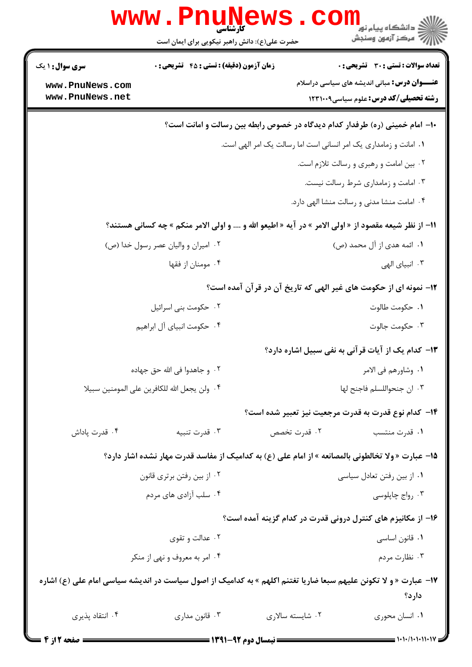|                                                                                     | <b>www.PnuNews</b><br>كآرشناسي                                                                                   |                            | ≦ دانشگاه پیام نور                                               |  |  |
|-------------------------------------------------------------------------------------|------------------------------------------------------------------------------------------------------------------|----------------------------|------------------------------------------------------------------|--|--|
|                                                                                     | حضرت علی(ع): دانش راهبر نیکویی برای ایمان است                                                                    |                            | رِ ۖ مرڪز آزمون وسنڊش                                            |  |  |
| <b>سری سوال :</b> ۱ یک                                                              | <b>زمان آزمون (دقیقه) : تستی : 45 تشریحی: 0</b>                                                                  |                            | تعداد سوالات : تستى : 30 ٪ تشريحي : 0                            |  |  |
| www.PnuNews.com                                                                     |                                                                                                                  |                            | <b>عنـــوان درس:</b> مبانی اندیشه های سیاسی دراسلام              |  |  |
| www.PnuNews.net                                                                     |                                                                                                                  |                            | <b>رشته تحصیلی/کد درس:</b> علوم سیاسی1۲۳۱۰۰۹                     |  |  |
| <b>۱۰</b> - امام خمینی (ره) طرفدار کدام دیدگاه در خصوص رابطه بین رسالت و امانت است؟ |                                                                                                                  |                            |                                                                  |  |  |
| ۰۱ امانت و زمامداری یک امر انسانی است اما رسالت یک امر الهی است.                    |                                                                                                                  |                            |                                                                  |  |  |
|                                                                                     |                                                                                                                  |                            | ۰۲ بین امامت و رهبری و رسالت تلازم است.                          |  |  |
|                                                                                     |                                                                                                                  |                            | ۰۳ امامت و زمامداری شرط رسالت نیست.                              |  |  |
|                                                                                     |                                                                                                                  |                            | ۰۴ امامت منشا مدنی و رسالت منشا الهی دارد.                       |  |  |
|                                                                                     | 11- از نظر شیعه مقصود از « اولی الامر » در آیه « اطیعو الله و …. و اولی الامر منکم » چه کسانی هستند؟             |                            |                                                                  |  |  |
|                                                                                     | ۰۲ امیران و والیان عصر رسول خدا (ص)                                                                              |                            | ۰۱ ائمه هدی از آل محمد (ص)                                       |  |  |
|                                                                                     | ۰۴ مومنان از فقها                                                                                                |                            | ۰۳ انبیای الهی                                                   |  |  |
|                                                                                     |                                                                                                                  |                            | ۱۲– نمونه ای از حکومت های غیر الهی که تاریخ آن در قرآن آمده است؟ |  |  |
|                                                                                     | ۰۲ حکومت بنی اسرائیل                                                                                             |                            | ٠١. حكومت طالوت                                                  |  |  |
|                                                                                     | ۰۴ حکومت انبیای آل ابراهیم                                                                                       |                            | ۰۳ حکومت جالوت                                                   |  |  |
|                                                                                     |                                                                                                                  |                            | <b>۱۳</b> - کدام یک از آیات قرآنی به نفی سبیل اشاره دارد؟        |  |  |
| ٢.  و جاهدوا في الله حق جهاده                                                       |                                                                                                                  |                            | ٠١. وشاورهم في الامر                                             |  |  |
|                                                                                     | ۰۴ ولن يجعل الله للكافرين على المومنين سبيلا                                                                     | ٠٣ ان جنحواللسلم فاجنح لها |                                                                  |  |  |
|                                                                                     |                                                                                                                  |                            | <b>۱۴</b> - کدام نوع قدرت به قدرت مرجعیت نیز تعبیر شده است؟      |  |  |
| ۰۴ قدرت پاداش                                                                       | ۰۳ قدرت تنبيه                                                                                                    | ۰۲ قدرت تخصص               | ۰۱ قدرت منتسب                                                    |  |  |
|                                                                                     | 1۵– عبارت « ولا تخالطونی بالمصانعه » از امام علی (ع) به کدامیک از مفاسد قدرت مهار نشده اشار دارد؟                |                            |                                                                  |  |  |
|                                                                                     | ۰۲ از بین رفتن برتری قانون                                                                                       |                            | ۰۱ از بین رفتن تعادل سیاسی                                       |  |  |
|                                                                                     | ۰۴ سلب آزادی های مردم                                                                                            |                            | ۰۳ رواج چاپلوسی                                                  |  |  |
|                                                                                     |                                                                                                                  |                            | ۱۶– از مکانیزم های کنترل درونی قدرت در کدام گزینه آمده است؟      |  |  |
|                                                                                     | ۰۲ عدالت و تقوی                                                                                                  |                            | ۰۱ قانون اساسی                                                   |  |  |
|                                                                                     | ۰۴ امر به معروف و نهی از منکر                                                                                    |                            | ۰۳ نظارت مردم                                                    |  |  |
|                                                                                     | ۱۷– عبارت « و لا تکونن علیهم سبعا ضاریا تغتنم اکلهم » به کدامیک از اصول سیاست در اندیشه سیاسی امام علی (ع) اشاره |                            |                                                                  |  |  |
|                                                                                     |                                                                                                                  |                            | دارد؟                                                            |  |  |
| ۰۴ انتقاد پذیری                                                                     | ۰۳ قانون مداری                                                                                                   | ۰۲ شايسته سالاري           | ٠١ انسان محوري                                                   |  |  |
|                                                                                     |                                                                                                                  |                            |                                                                  |  |  |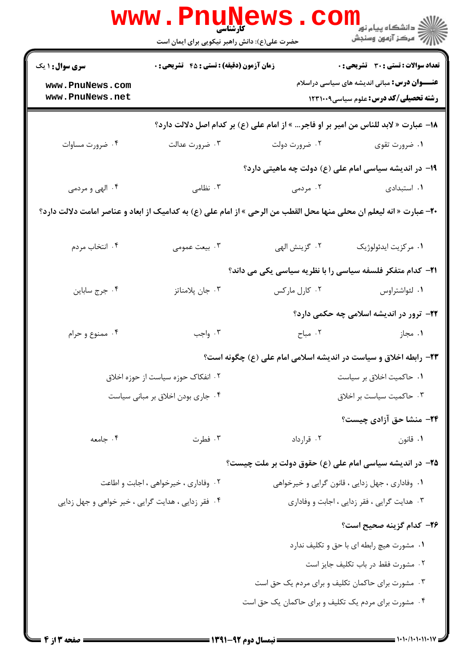| تعداد سوالات : تستى : 30 - تشريحي : 0                                                                                        |                                                  | <b>زمان آزمون (دقیقه) : تستی : 45 تشریحی : 0</b>                                     | <b>سری سوال : ۱ یک</b>                             |  |
|------------------------------------------------------------------------------------------------------------------------------|--------------------------------------------------|--------------------------------------------------------------------------------------|----------------------------------------------------|--|
| <b>عنـــوان درس:</b> مبانی اندیشه های سیاسی دراسلام<br><b>رشته تحصیلی/کد درس:</b> علوم سیاسی1۲۳۱۰۰۹                          |                                                  |                                                                                      | www.PnuNews.com<br>www.PnuNews.net                 |  |
|                                                                                                                              |                                                  | 18– عبارت « لابد للناس من امیر بر او فاجر… » از امام علی (ع) بر کدام اصل دلالت دارد؟ |                                                    |  |
| ۰۱ ضرورت تقوی                                                                                                                | ۰۲ ضرورت دولت                                    | ۰۳ ضرورت عدالت                                                                       | ۰۴ ضرورت مساوات                                    |  |
| ۱۹- در اندیشه سیاسی امام علی (ع) دولت چه ماهیتی دارد؟                                                                        |                                                  |                                                                                      |                                                    |  |
| ۰۱ استبدادی                                                                                                                  | ۰۲ مردمی                                         | ۰۳ نظامی                                                                             | ۰۴ الهي و مردمي                                    |  |
| <b>٢٠</b> – عبارت « انه ليعلم ان محلي منها محل القطب من الرحي » از امام علي (ع) به كداميك از ابعاد و عناصر امامت دلالت دارد؟ |                                                  |                                                                                      |                                                    |  |
| ٠١ مركزيت ايدئولوژيک                                                                                                         | ۰۲ گزينش الهي                                    | ۰۳ بیعت عمومی                                                                        | ۰۴ انتخاب مردم                                     |  |
| <b>۲۱</b> - کدام متفکر فلسفه سیاسی را با نظریه سیاسی یکی می داند؟                                                            |                                                  |                                                                                      |                                                    |  |
| ۰۱ لئواشتراوس                                                                                                                | ۰۲ کارل مارکس                                    | ۰۳ جان پلامناتز                                                                      | ۰۴ جرج ساباين                                      |  |
| ۲۲- ترور در اندیشه اسلامی چه حکمی دارد؟                                                                                      |                                                  |                                                                                      |                                                    |  |
| ۰۱ مجاز                                                                                                                      | ۰۲ مباح                                          | ۰۳ واجب                                                                              | ۰۴ ممنوع و حرام                                    |  |
| ۲۳- رابطه اخلاق و سیاست در اندیشه اسلامی امام علی (ع) چگونه است؟                                                             |                                                  |                                                                                      |                                                    |  |
| ۰۱ حاکمیت اخلاق بر سیاست                                                                                                     |                                                  | ۰۲ انفکاک حوزه سیاست از حوزه اخلاق                                                   |                                                    |  |
| ۰۳ حاکمیت سیاست بر اخلاق                                                                                                     |                                                  |                                                                                      | ۰۴ جاری بودن اخلاق بر مبانی سیاست                  |  |
| ۲۴- منشا حق آزادی چیست؟                                                                                                      |                                                  |                                                                                      |                                                    |  |
| ۰۱ قانون                                                                                                                     | ۰۲ قرارداد                                       | ۰۳ فطرت                                                                              | ۰۴ جامعه                                           |  |
| ۲۵– در اندیشه سیاسی امام علی (ع) حقوق دولت بر ملت چیست؟                                                                      |                                                  |                                                                                      |                                                    |  |
| ۰۱ وفاداری ، جهل زدایی ، قانون گرایی و خیرخواهی                                                                              |                                                  | ۰۲ وفاداری ، خیرخواهی ، اجابت و اطاعت                                                |                                                    |  |
| ۰۳ هدایت گرایی ، فقر زدایی ، اجابت و وفاداری                                                                                 |                                                  |                                                                                      | ۰۴ فقر زدایی ، هدایت گرایی ، خیر خواهی و جهل زدایی |  |
| ۲۶– کدام گزینه صحیح است؟                                                                                                     |                                                  |                                                                                      |                                                    |  |
| ۰۱ مشورت هیچ رابطه ای با حق و تکلیف ندارد                                                                                    |                                                  |                                                                                      |                                                    |  |
| ٠٢ مشورت فقط در باب تكليف جايز است                                                                                           |                                                  |                                                                                      |                                                    |  |
|                                                                                                                              | ۰۳ مشورت برای حاکمان تکلیف و برای مردم یک حق است |                                                                                      |                                                    |  |
| ۰۴ مشورت برای مردم یک تکلیف و برای حاکمان یک حق است                                                                          |                                                  |                                                                                      |                                                    |  |